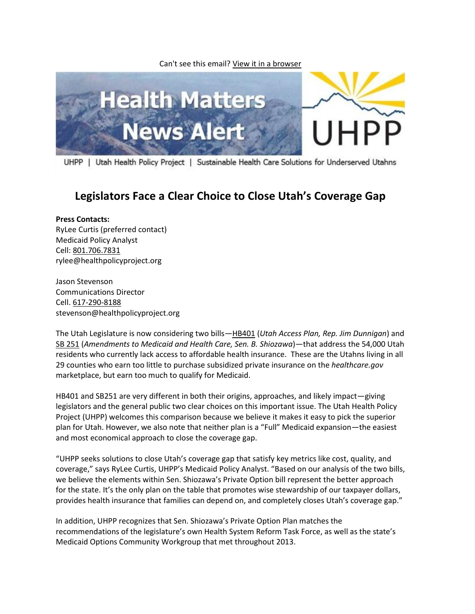Can't see this email? [View it in a browser](http://us1.campaign-archive2.com/?u=656a6686e0e46fdadf04f0a2e&id=463d14d359&e=%5bUNIQID%5d)



UHPP | Utah Health Policy Project | Sustainable Health Care Solutions for Underserved Utahns

## **Legislators Face a Clear Choice to Close Utah's Coverage Gap**

## **Press Contacts:**

RyLee Curtis (preferred contact) Medicaid Policy Analyst Cell: [801.706.7831](tel:801.706.7831) rylee@healthpolicyproject.org

Jason Stevenson Communications Director Cell[. 617-290-8188](tel:617-290-8188) stevenson@healthpolicyproject.org

The Utah Legislature is now considering two bills—[HB401](http://le.utah.gov/~2014/bills/static/HB0401.html) (*Utah Access Plan, Rep. Jim Dunnigan*) and [SB 251](http://le.utah.gov/~2014/bills/static/HB0401.html) (*Amendments to Medicaid and Health Care, Sen. B. Shiozawa*)—that address the 54,000 Utah residents who currently lack access to affordable health insurance. These are the Utahns living in all 29 counties who earn too little to purchase subsidized private insurance on the *healthcare.gov* marketplace, but earn too much to qualify for Medicaid.

HB401 and SB251 are very different in both their origins, approaches, and likely impact—giving legislators and the general public two clear choices on this important issue. The Utah Health Policy Project (UHPP) welcomes this comparison because we believe it makes it easy to pick the superior plan for Utah. However, we also note that neither plan is a "Full" Medicaid expansion—the easiest and most economical approach to close the coverage gap.

"UHPP seeks solutions to close Utah's coverage gap that satisfy key metrics like cost, quality, and coverage," says RyLee Curtis, UHPP's Medicaid Policy Analyst. "Based on our analysis of the two bills, we believe the elements within Sen. Shiozawa's Private Option bill represent the better approach for the state. It's the only plan on the table that promotes wise stewardship of our taxpayer dollars, provides health insurance that families can depend on, and completely closes Utah's coverage gap."

In addition, UHPP recognizes that Sen. Shiozawa's Private Option Plan matches the recommendations of the legislature's own Health System Reform Task Force, as well as the state's Medicaid Options Community Workgroup that met throughout 2013.